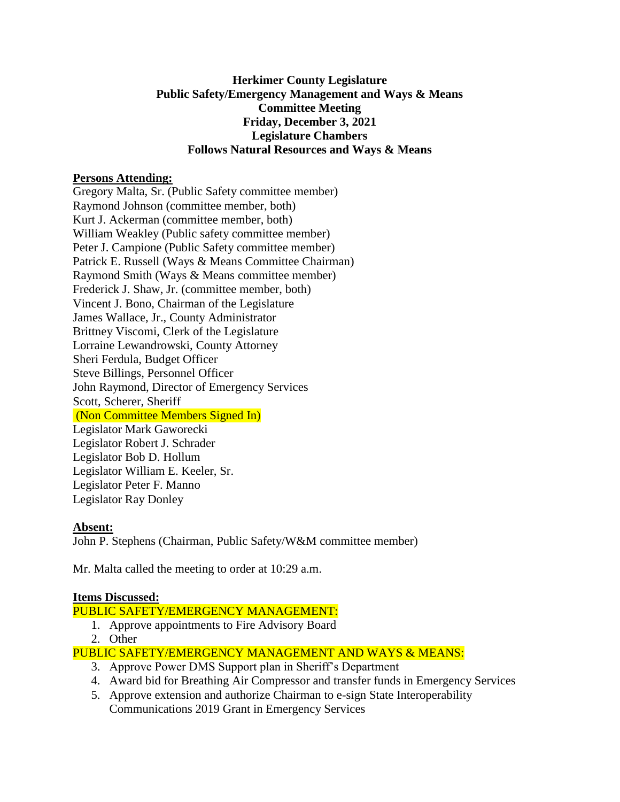### **Herkimer County Legislature Public Safety/Emergency Management and Ways & Means Committee Meeting Friday, December 3, 2021 Legislature Chambers Follows Natural Resources and Ways & Means**

### **Persons Attending:**

Gregory Malta, Sr. (Public Safety committee member) Raymond Johnson (committee member, both) Kurt J. Ackerman (committee member, both) William Weakley (Public safety committee member) Peter J. Campione (Public Safety committee member) Patrick E. Russell (Ways & Means Committee Chairman) Raymond Smith (Ways & Means committee member) Frederick J. Shaw, Jr. (committee member, both) Vincent J. Bono, Chairman of the Legislature James Wallace, Jr., County Administrator Brittney Viscomi, Clerk of the Legislature Lorraine Lewandrowski, County Attorney Sheri Ferdula, Budget Officer Steve Billings, Personnel Officer John Raymond, Director of Emergency Services Scott, Scherer, Sheriff (Non Committee Members Signed In) Legislator Mark Gaworecki Legislator Robert J. Schrader Legislator Bob D. Hollum Legislator William E. Keeler, Sr. Legislator Peter F. Manno Legislator Ray Donley

### **Absent:**

John P. Stephens (Chairman, Public Safety/W&M committee member)

Mr. Malta called the meeting to order at 10:29 a.m.

### **Items Discussed:**

# PUBLIC SAFETY/EMERGENCY MANAGEMENT:

- 1. Approve appointments to Fire Advisory Board
- 2. Other

PUBLIC SAFETY/EMERGENCY MANAGEMENT AND WAYS & MEANS:

- 3. Approve Power DMS Support plan in Sheriff's Department
- 4. Award bid for Breathing Air Compressor and transfer funds in Emergency Services
- 5. Approve extension and authorize Chairman to e-sign State Interoperability

Communications 2019 Grant in Emergency Services